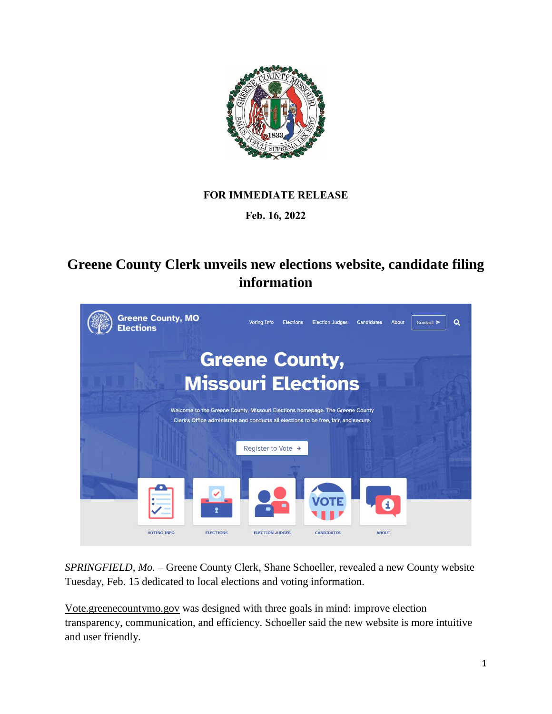

## **FOR IMMEDIATE RELEASE**

## **Feb. 16, 2022**

## **Greene County Clerk unveils new elections website, candidate filing information**



*SPRINGFIELD, Mo.* – Greene County Clerk, Shane Schoeller, revealed a new County website Tuesday, Feb. 15 dedicated to local elections and voting information.

Vote.greenecountymo.gov was designed with three goals in mind: improve election transparency, communication, and efficiency. Schoeller said the new website is more intuitive and user friendly.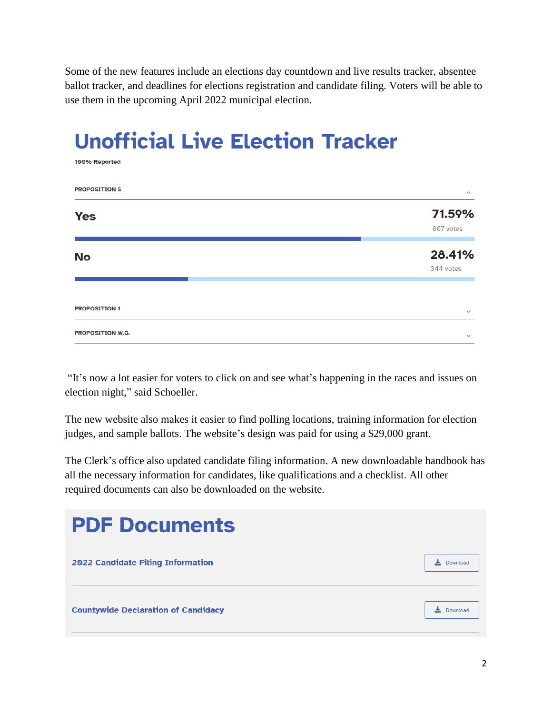Some of the new features include an elections day countdown and live results tracker, absentee ballot tracker, and deadlines for elections registration and candidate filing. Voters will be able to use them in the upcoming April 2022 municipal election.

## **Unofficial Live Election Tracker**

100% Reported

**PROPOSITION S** 71.59% **Yes** 867 votes 28.41% **No** 344 votes **PROPOSITION 1** PROPOSITION W.G.

"It's now a lot easier for voters to click on and see what's happening in the races and issues on election night," said Schoeller.

The new website also makes it easier to find polling locations, training information for election judges, and sample ballots. The website's design was paid for using a \$29,000 grant.

The Clerk's office also updated candidate filing information. A new downloadable handbook has all the necessary information for candidates, like qualifications and a checklist. All other required documents can also be downloaded on the website.